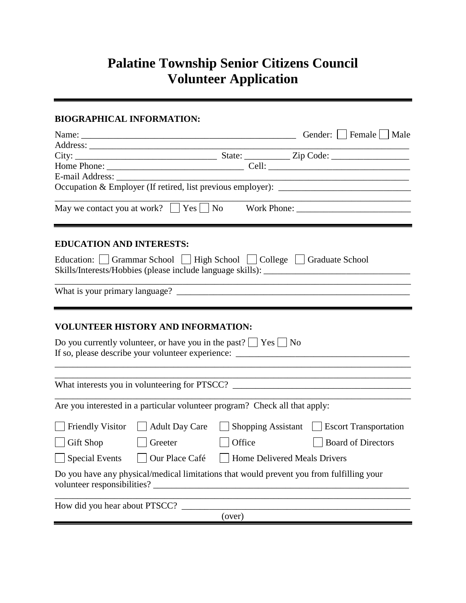# **Palatine Township Senior Citizens Council Volunteer Application**

## **BIOGRAPHICAL INFORMATION:**

|                                 |                                                                                                                                                         |        |                           | Gender:     Female     Male                                                                                                                                   |
|---------------------------------|---------------------------------------------------------------------------------------------------------------------------------------------------------|--------|---------------------------|---------------------------------------------------------------------------------------------------------------------------------------------------------------|
|                                 | Address:                                                                                                                                                |        |                           |                                                                                                                                                               |
|                                 |                                                                                                                                                         |        |                           |                                                                                                                                                               |
|                                 |                                                                                                                                                         |        |                           |                                                                                                                                                               |
| E-mail Address:                 |                                                                                                                                                         |        |                           |                                                                                                                                                               |
|                                 |                                                                                                                                                         |        |                           | Occupation & Employer (If retired, list previous employer): _____________________                                                                             |
|                                 | May we contact you at work? $\Box$ Yes $\Box$ No                                                                                                        |        |                           | <u> 1989 - Johann Barbara, martin da kasar Amerikaan kasar dalam kasar dalam kasar dalam kasar dalam kasar dalam </u><br>Work Phone: New York District Phone: |
| <b>EDUCATION AND INTERESTS:</b> |                                                                                                                                                         |        |                           |                                                                                                                                                               |
|                                 | Education: Grammar School   High School   College   Graduate School<br>Skills/Interests/Hobbies (please include language skills): _____________________ |        |                           |                                                                                                                                                               |
|                                 |                                                                                                                                                         |        |                           |                                                                                                                                                               |
|                                 | <b>VOLUNTEER HISTORY AND INFORMATION:</b>                                                                                                               |        |                           |                                                                                                                                                               |
|                                 | Do you currently volunteer, or have you in the past? $\vert$ Yes $\vert$ No                                                                             |        |                           |                                                                                                                                                               |
|                                 |                                                                                                                                                         |        |                           | What interests you in volunteering for PTSCC? __________________________________                                                                              |
|                                 | Are you interested in a particular volunteer program? Check all that apply:                                                                             |        |                           |                                                                                                                                                               |
|                                 | $\Box$ Friendly Visitor $\Box$ Adult Day Care                                                                                                           |        | $\Box$ Shopping Assistant | $\Box$ Escort Transportation                                                                                                                                  |
| Gift Shop                       | Greeter                                                                                                                                                 | Office |                           | <b>Board of Directors</b>                                                                                                                                     |
| $\vert$ Special Events          | Our Place Café       Home Delivered Meals Drivers                                                                                                       |        |                           |                                                                                                                                                               |
|                                 | Do you have any physical/medical limitations that would prevent you from fulfilling your                                                                |        |                           |                                                                                                                                                               |
|                                 | How did you hear about PTSCC?                                                                                                                           |        |                           |                                                                                                                                                               |
|                                 |                                                                                                                                                         | (over) |                           |                                                                                                                                                               |